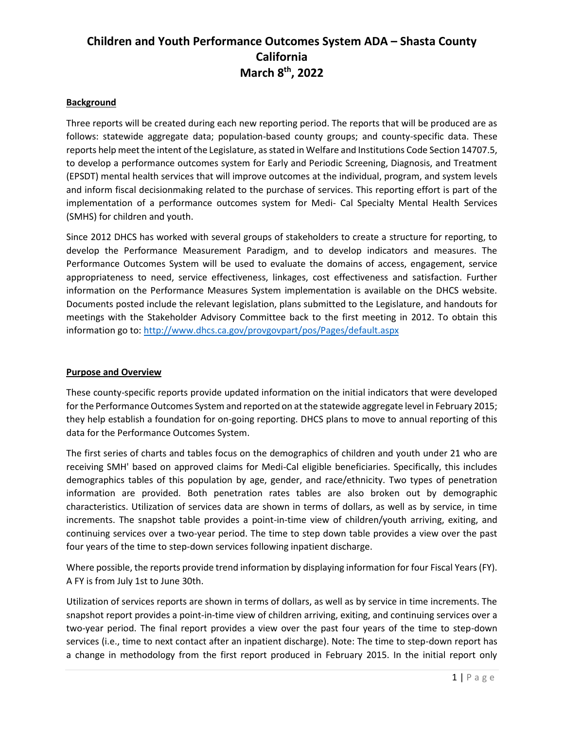### **Background**

Three reports will be created during each new reporting period. The reports that will be produced are as follows: statewide aggregate data; population-based county groups; and county-specific data. These reports help meet the intent of the Legislature, as stated in Welfare and Institutions Code Section 14707.5, to develop a performance outcomes system for Early and Periodic Screening, Diagnosis, and Treatment (EPSDT) mental health services that will improve outcomes at the individual, program, and system levels and inform fiscal decisionmaking related to the purchase of services. This reporting effort is part of the implementation of a performance outcomes system for Medi- Cal Specialty Mental Health Services (SMHS) for children and youth.

Since 2012 DHCS has worked with several groups of stakeholders to create a structure for reporting, to develop the Performance Measurement Paradigm, and to develop indicators and measures. The Performance Outcomes System will be used to evaluate the domains of access, engagement, service appropriateness to need, service effectiveness, linkages, cost effectiveness and satisfaction. Further information on the Performance Measures System implementation is available on the DHCS website. Documents posted include the relevant legislation, plans submitted to the Legislature, and handouts for meetings with the Stakeholder Advisory Committee back to the first meeting in 2012. To obtain this information go to:<http://www.dhcs.ca.gov/provgovpart/pos/Pages/default.aspx>

### **Purpose and Overview**

These county-specific reports provide updated information on the initial indicators that were developed for the Performance Outcomes System and reported on at the statewide aggregate level in February 2015; they help establish a foundation for on-going reporting. DHCS plans to move to annual reporting of this data for the Performance Outcomes System.

The first series of charts and tables focus on the demographics of children and youth under 21 who are receiving SMH' based on approved claims for Medi-Cal eligible beneficiaries. Specifically, this includes demographics tables of this population by age, gender, and race/ethnicity. Two types of penetration information are provided. Both penetration rates tables are also broken out by demographic characteristics. Utilization of services data are shown in terms of dollars, as well as by service, in time increments. The snapshot table provides a point-in-time view of children/youth arriving, exiting, and continuing services over a two-year period. The time to step down table provides a view over the past four years of the time to step-down services following inpatient discharge.

Where possible, the reports provide trend information by displaying information for four Fiscal Years (FY). A FY is from July 1st to June 30th.

Utilization of services reports are shown in terms of dollars, as well as by service in time increments. The snapshot report provides a point-in-time view of children arriving, exiting, and continuing services over a two-year period. The final report provides a view over the past four years of the time to step-down services (i.e., time to next contact after an inpatient discharge). Note: The time to step-down report has a change in methodology from the first report produced in February 2015. In the initial report only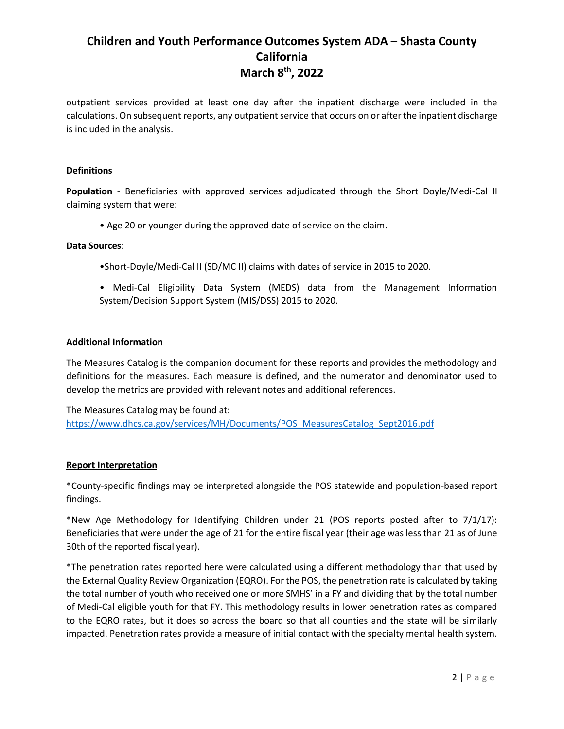outpatient services provided at least one day after the inpatient discharge were included in the calculations. On subsequent reports, any outpatient service that occurs on or after the inpatient discharge is included in the analysis.

### **Definitions**

**Population** - Beneficiaries with approved services adjudicated through the Short Doyle/Medi-Cal II claiming system that were:

• Age 20 or younger during the approved date of service on the claim.

#### **Data Sources**:

- •Short-Doyle/Medi-Cal II (SD/MC II) claims with dates of service in 2015 to 2020.
- Medi-Cal Eligibility Data System (MEDS) data from the Management Information System/Decision Support System (MIS/DSS) 2015 to 2020.

### **Additional Information**

The Measures Catalog is the companion document for these reports and provides the methodology and definitions for the measures. Each measure is defined, and the numerator and denominator used to develop the metrics are provided with relevant notes and additional references.

The Measures Catalog may be found at: [https://www.dhcs.ca.gov/services/MH/Documents/POS\\_MeasuresCatalog\\_Sept2016.pdf](https://www.dhcs.ca.gov/services/MH/Documents/POS_MeasuresCatalog_Sept2016.pdf)

#### **Report Interpretation**

\*County-specific findings may be interpreted alongside the POS statewide and population-based report findings.

\*New Age Methodology for Identifying Children under 21 (POS reports posted after to 7/1/17): Beneficiaries that were under the age of 21 for the entire fiscal year (their age was less than 21 as of June 30th of the reported fiscal year).

\*The penetration rates reported here were calculated using a different methodology than that used by the External Quality Review Organization (EQRO). For the POS, the penetration rate is calculated by taking the total number of youth who received one or more SMHS' in a FY and dividing that by the total number of Medi-Cal eligible youth for that FY. This methodology results in lower penetration rates as compared to the EQRO rates, but it does so across the board so that all counties and the state will be similarly impacted. Penetration rates provide a measure of initial contact with the specialty mental health system.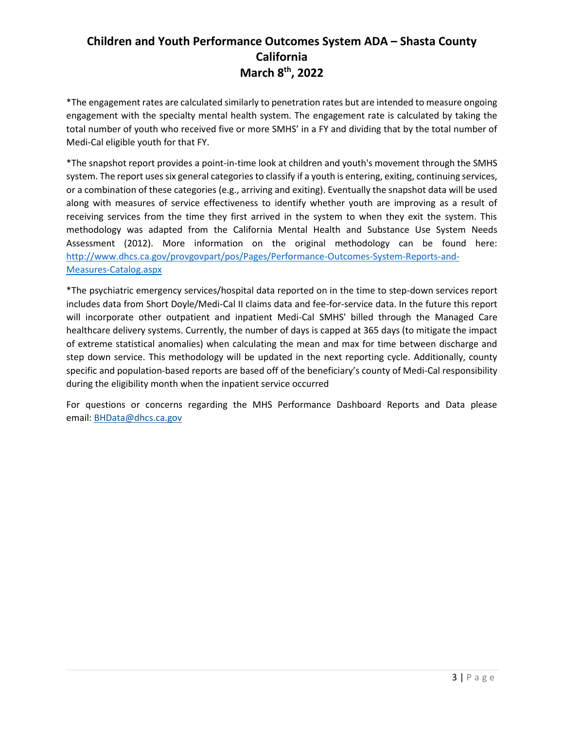\*The engagement rates are calculated similarly to penetration rates but are intended to measure ongoing engagement with the specialty mental health system. The engagement rate is calculated by taking the total number of youth who received five or more SMHS' in a FY and dividing that by the total number of Medi-Cal eligible youth for that FY.

\*The snapshot report provides a point-in-time look at children and youth's movement through the SMHS system. The report uses six general categories to classify if a youth is entering, exiting, continuing services, or a combination of these categories (e.g., arriving and exiting). Eventually the snapshot data will be used along with measures of service effectiveness to identify whether youth are improving as a result of receiving services from the time they first arrived in the system to when they exit the system. This methodology was adapted from the California Mental Health and Substance Use System Needs Assessment (2012). More information on the original methodology can be found here: [http://www.dhcs.ca.gov/provgovpart/pos/Pages/Performance-Outcomes-System-Reports-and-](http://www.dhcs.ca.gov/provgovpart/pos/Pages/Performance-Outcomes-System-Reports-and-Measures-Catalog.aspx)[Measures-Catalog.aspx](http://www.dhcs.ca.gov/provgovpart/pos/Pages/Performance-Outcomes-System-Reports-and-Measures-Catalog.aspx)

\*The psychiatric emergency services/hospital data reported on in the time to step-down services report includes data from Short Doyle/Medi-Cal II claims data and fee-for-service data. In the future this report will incorporate other outpatient and inpatient Medi-Cal SMHS' billed through the Managed Care healthcare delivery systems. Currently, the number of days is capped at 365 days (to mitigate the impact of extreme statistical anomalies) when calculating the mean and max for time between discharge and step down service. This methodology will be updated in the next reporting cycle. Additionally, county specific and population-based reports are based off of the beneficiary's county of Medi-Cal responsibility during the eligibility month when the inpatient service occurred

For questions or concerns regarding the MHS Performance Dashboard Reports and Data please email: [BHData@dhcs.ca.gov](mailto:BHData@dhcs.ca.gov)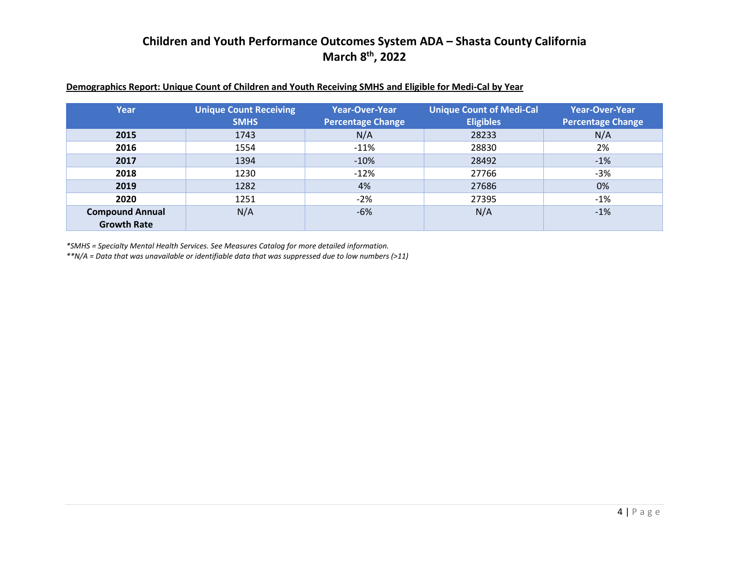| Demographics Report: Unique Count of Children and Youth Receiving SMHS and Eligible for Medi-Cal by Year |  |
|----------------------------------------------------------------------------------------------------------|--|
|----------------------------------------------------------------------------------------------------------|--|

| Year                   | <b>Unique Count Receiving</b><br><b>SMHS</b> | <b>Year-Over-Year</b><br><b>Percentage Change</b> | <b>Unique Count of Medi-Cal</b><br><b>Eligibles</b> | <b>Year-Over-Year</b><br><b>Percentage Change</b> |
|------------------------|----------------------------------------------|---------------------------------------------------|-----------------------------------------------------|---------------------------------------------------|
| 2015                   | 1743                                         | N/A                                               | 28233                                               | N/A                                               |
| 2016                   | 1554                                         | $-11%$                                            | 28830                                               | 2%                                                |
| 2017                   | 1394                                         | $-10%$                                            | 28492                                               | $-1%$                                             |
| 2018                   | 1230                                         | $-12%$                                            | 27766                                               | $-3%$                                             |
| 2019                   | 1282                                         | 4%                                                | 27686                                               | 0%                                                |
| 2020                   | 1251                                         | $-2%$                                             | 27395                                               | $-1%$                                             |
| <b>Compound Annual</b> | N/A                                          | $-6%$                                             | N/A                                                 | $-1%$                                             |
| <b>Growth Rate</b>     |                                              |                                                   |                                                     |                                                   |

*\*SMHS = Specialty Mental Health Services. See Measures Catalog for more detailed information.*

*\*\*N/A = Data that was unavailable or identifiable data that was suppressed due to low numbers (>11)*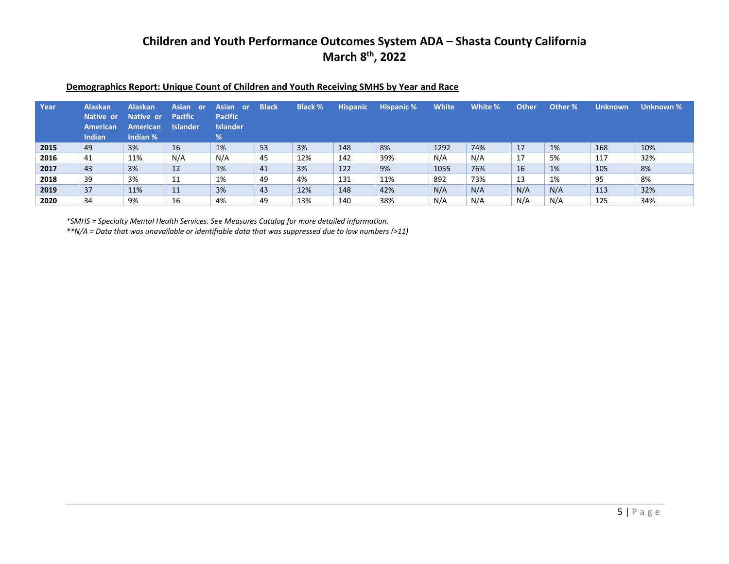| Year | <b>Alaskan</b><br>Native or<br>American<br>Indian | <b>Alaskan</b><br>Native or<br><b>American</b><br>Indian % | Asian or<br><b>Pacific</b><br><b>Islander</b> | Asian or<br><b>Pacific</b><br><b>Islander</b><br>% | <b>Black</b> | <b>Black %</b> | <b>Hispanic</b> | <b>Hispanic %</b> | <b>White</b> | White % | <b>Other</b> | Other % | <b>Unknown</b> | Unknown % |
|------|---------------------------------------------------|------------------------------------------------------------|-----------------------------------------------|----------------------------------------------------|--------------|----------------|-----------------|-------------------|--------------|---------|--------------|---------|----------------|-----------|
| 2015 | 49                                                | 3%                                                         | 16                                            | 1%                                                 | 53           | 3%             | 148             | 8%                | 1292         | 74%     | 17           | 1%      | 168            | 10%       |
| 2016 | 41                                                | 11%                                                        | N/A                                           | N/A                                                | 45           | 12%            | 142             | 39%               | N/A          | N/A     | 17           | 5%      | 117            | 32%       |
| 2017 | 43                                                | 3%                                                         | 12                                            | 1%                                                 | 41           | 3%             | 122             | 9%                | 1055         | 76%     | 16           | 1%      | 105            | 8%        |
| 2018 | 39                                                | 3%                                                         | 11                                            | 1%                                                 | 49           | 4%             | 131             | 11%               | 892          | 73%     | 13           | 1%      | 95             | 8%        |
| 2019 | 37                                                | 11%                                                        | 11                                            | 3%                                                 | 43           | 12%            | 148             | 42%               | N/A          | N/A     | N/A          | N/A     | 113            | 32%       |
| 2020 | 34                                                | 9%                                                         | 16                                            | 4%                                                 | 49           | 13%            | 140             | 38%               | N/A          | N/A     | N/A          | N/A     | 125            | 34%       |

### **Demographics Report: Unique Count of Children and Youth Receiving SMHS by Year and Race**

*\*SMHS = Specialty Mental Health Services. See Measures Catalog for more detailed information.*

*\*\*N/A = Data that was unavailable or identifiable data that was suppressed due to low numbers (>11)*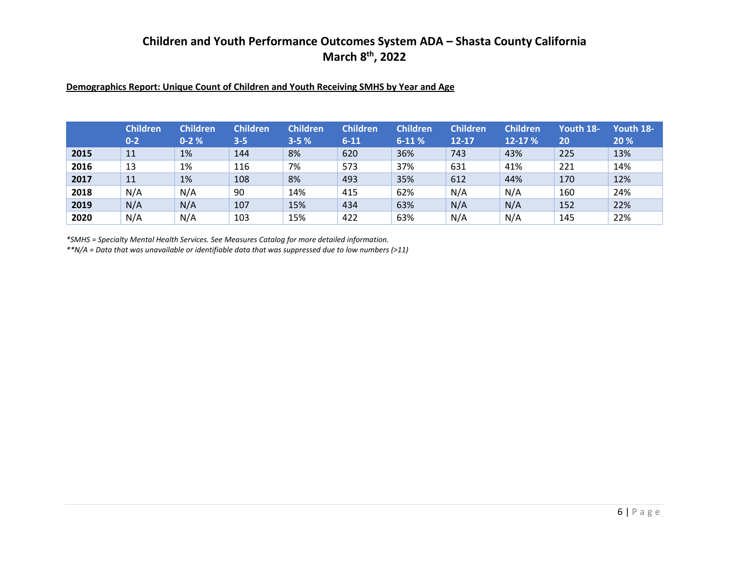### **Demographics Report: Unique Count of Children and Youth Receiving SMHS by Year and Age**

|      | <b>Children</b><br>$0 - 2$ | <b>Children</b><br>$0 - 2%$ | <b>Children</b><br>$3 - 5$ | <b>Children</b><br>$3 - 5%$ | <b>Children</b><br>$6 - 11$ | <b>Children</b><br>$6-11%$ | <b>Children</b><br>$12 - 17$ | <b>Children</b><br>12-17 % | Youth 18-<br>20 | Youth 18-<br>20 % |
|------|----------------------------|-----------------------------|----------------------------|-----------------------------|-----------------------------|----------------------------|------------------------------|----------------------------|-----------------|-------------------|
| 2015 | 11                         | 1%                          | 144                        | 8%                          | 620                         | 36%                        | 743                          | 43%                        | 225             | 13%               |
| 2016 | 13                         | 1%                          | 116                        | 7%                          | 573                         | 37%                        | 631                          | 41%                        | 221             | 14%               |
| 2017 | 11                         | 1%                          | 108                        | 8%                          | 493                         | 35%                        | 612                          | 44%                        | 170             | 12%               |
| 2018 | N/A                        | N/A                         | 90                         | 14%                         | 415                         | 62%                        | N/A                          | N/A                        | 160             | 24%               |
| 2019 | N/A                        | N/A                         | 107                        | 15%                         | 434                         | 63%                        | N/A                          | N/A                        | 152             | 22%               |
| 2020 | N/A                        | N/A                         | 103                        | 15%                         | 422                         | 63%                        | N/A                          | N/A                        | 145             | 22%               |

*\*SMHS = Specialty Mental Health Services. See Measures Catalog for more detailed information.*

*\*\*N/A = Data that was unavailable or identifiable data that was suppressed due to low numbers (>11)*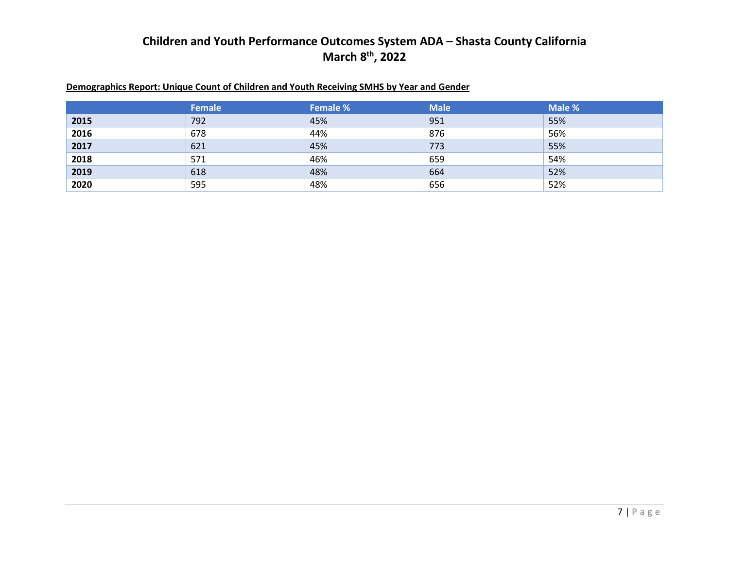### **Demographics Report: Unique Count of Children and Youth Receiving SMHS by Year and Gender**

|      | Female | <b>Female %</b> | <b>Male</b> | Male % |
|------|--------|-----------------|-------------|--------|
| 2015 | 792    | 45%             | 951         | 55%    |
| 2016 | 678    | 44%             | 876         | 56%    |
| 2017 | 621    | 45%             | 773         | 55%    |
| 2018 | 571    | 46%             | 659         | 54%    |
| 2019 | 618    | 48%             | 664         | 52%    |
| 2020 | 595    | 48%             | 656         | 52%    |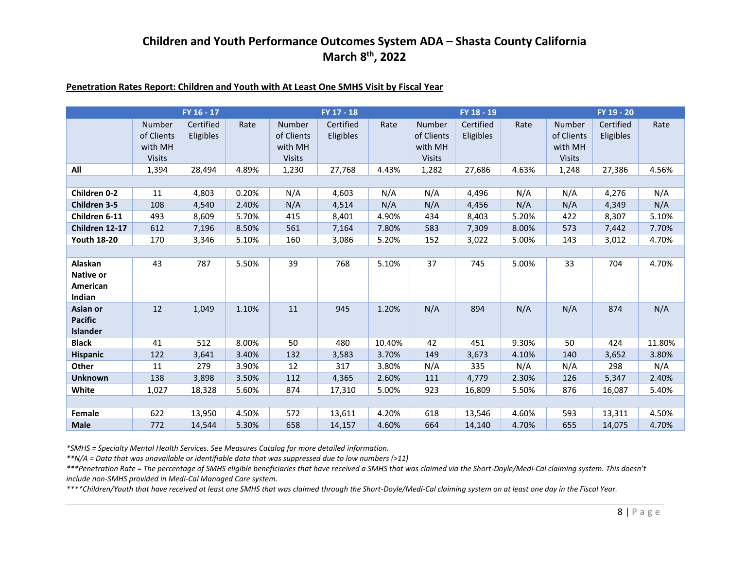### **Penetration Rates Report: Children and Youth with At Least One SMHS Visit by Fiscal Year**

|                                               |                                                  | FY 16 - 17             |       |                                                  | $FY$ 17 - 18           |        |                                                         | FY 18 - 19             |       |                                                  | FY 19 - 20             |        |
|-----------------------------------------------|--------------------------------------------------|------------------------|-------|--------------------------------------------------|------------------------|--------|---------------------------------------------------------|------------------------|-------|--------------------------------------------------|------------------------|--------|
|                                               | Number<br>of Clients<br>with MH<br><b>Visits</b> | Certified<br>Eligibles | Rate  | Number<br>of Clients<br>with MH<br><b>Visits</b> | Certified<br>Eligibles | Rate   | <b>Number</b><br>of Clients<br>with MH<br><b>Visits</b> | Certified<br>Eligibles | Rate  | Number<br>of Clients<br>with MH<br><b>Visits</b> | Certified<br>Eligibles | Rate   |
| All                                           | 1,394                                            | 28,494                 | 4.89% | 1,230                                            | 27,768                 | 4.43%  | 1,282                                                   | 27,686                 | 4.63% | 1,248                                            | 27,386                 | 4.56%  |
|                                               |                                                  |                        |       |                                                  |                        |        |                                                         |                        |       |                                                  |                        |        |
| Children 0-2                                  | 11                                               | 4,803                  | 0.20% | N/A                                              | 4,603                  | N/A    | N/A                                                     | 4,496                  | N/A   | N/A                                              | 4,276                  | N/A    |
| Children 3-5                                  | 108                                              | 4,540                  | 2.40% | N/A                                              | 4,514                  | N/A    | N/A                                                     | 4,456                  | N/A   | N/A                                              | 4,349                  | N/A    |
| Children 6-11                                 | 493                                              | 8,609                  | 5.70% | 415                                              | 8,401                  | 4.90%  | 434                                                     | 8,403                  | 5.20% | 422                                              | 8,307                  | 5.10%  |
| Children 12-17                                | 612                                              | 7,196                  | 8.50% | 561                                              | 7,164                  | 7.80%  | 583                                                     | 7,309                  | 8.00% | 573                                              | 7,442                  | 7.70%  |
| <b>Youth 18-20</b>                            | 170                                              | 3,346                  | 5.10% | 160                                              | 3,086                  | 5.20%  | 152                                                     | 3,022                  | 5.00% | 143                                              | 3,012                  | 4.70%  |
|                                               |                                                  |                        |       |                                                  |                        |        |                                                         |                        |       |                                                  |                        |        |
| Alaskan<br>Native or<br>American<br>Indian    | 43                                               | 787                    | 5.50% | 39                                               | 768                    | 5.10%  | 37                                                      | 745                    | 5.00% | 33                                               | 704                    | 4.70%  |
| Asian or<br><b>Pacific</b><br><b>Islander</b> | 12                                               | 1,049                  | 1.10% | 11                                               | 945                    | 1.20%  | N/A                                                     | 894                    | N/A   | N/A                                              | 874                    | N/A    |
| <b>Black</b>                                  | 41                                               | 512                    | 8.00% | 50                                               | 480                    | 10.40% | 42                                                      | 451                    | 9.30% | 50                                               | 424                    | 11.80% |
| <b>Hispanic</b>                               | 122                                              | 3,641                  | 3.40% | 132                                              | 3,583                  | 3.70%  | 149                                                     | 3,673                  | 4.10% | 140                                              | 3,652                  | 3.80%  |
| Other                                         | 11                                               | 279                    | 3.90% | 12                                               | 317                    | 3.80%  | N/A                                                     | 335                    | N/A   | N/A                                              | 298                    | N/A    |
| <b>Unknown</b>                                | 138                                              | 3,898                  | 3.50% | 112                                              | 4,365                  | 2.60%  | 111                                                     | 4,779                  | 2.30% | 126                                              | 5,347                  | 2.40%  |
| White                                         | 1,027                                            | 18,328                 | 5.60% | 874                                              | 17,310                 | 5.00%  | 923                                                     | 16,809                 | 5.50% | 876                                              | 16,087                 | 5.40%  |
|                                               |                                                  |                        |       |                                                  |                        |        |                                                         |                        |       |                                                  |                        |        |
| Female                                        | 622                                              | 13,950                 | 4.50% | 572                                              | 13,611                 | 4.20%  | 618                                                     | 13,546                 | 4.60% | 593                                              | 13,311                 | 4.50%  |
| <b>Male</b>                                   | 772                                              | 14,544                 | 5.30% | 658                                              | 14,157                 | 4.60%  | 664                                                     | 14,140                 | 4.70% | 655                                              | 14,075                 | 4.70%  |

*\*SMHS = Specialty Mental Health Services. See Measures Catalog for more detailed information.*

*\*\*N/A = Data that was unavailable or identifiable data that was suppressed due to low numbers (>11)*

*\*\*\*Penetration Rate = The percentage of SMHS eligible beneficiaries that have received a SMHS that was claimed via the Short-Doyle/Medi-Cal claiming system. This doesn't include non-SMHS provided in Medi-Cal Managed Care system.*

*\*\*\*\*Children/Youth that have received at least one SMHS that was claimed through the Short-Doyle/Medi-Cal claiming system on at least one day in the Fiscal Year.*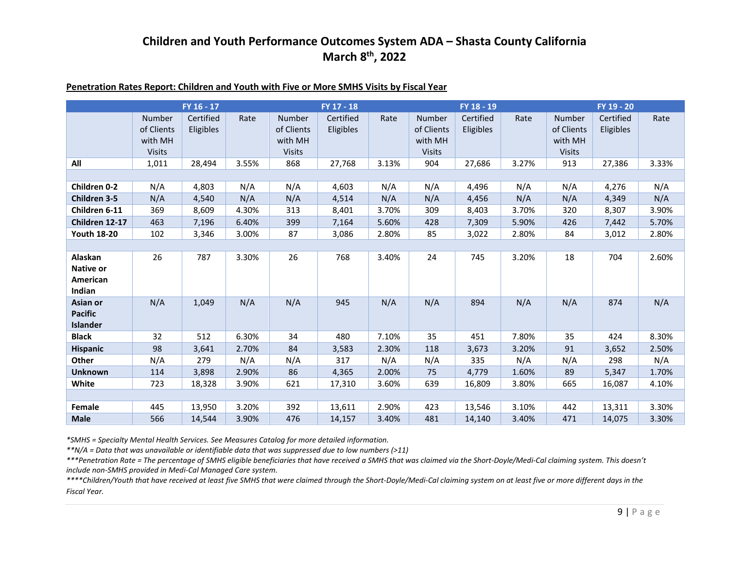### **Penetration Rates Report: Children and Youth with Five or More SMHS Visits by Fiscal Year**

|                                                   |                                                  | FY 16 - 17             |       |                                                         | FY 17 - 18                    |       |                                                         | FY 18 - 19             |       |                                                         | FY 19 - 20             |       |
|---------------------------------------------------|--------------------------------------------------|------------------------|-------|---------------------------------------------------------|-------------------------------|-------|---------------------------------------------------------|------------------------|-------|---------------------------------------------------------|------------------------|-------|
|                                                   | Number<br>of Clients<br>with MH<br><b>Visits</b> | Certified<br>Eligibles | Rate  | <b>Number</b><br>of Clients<br>with MH<br><b>Visits</b> | Certified<br><b>Eligibles</b> | Rate  | <b>Number</b><br>of Clients<br>with MH<br><b>Visits</b> | Certified<br>Eligibles | Rate  | <b>Number</b><br>of Clients<br>with MH<br><b>Visits</b> | Certified<br>Eligibles | Rate  |
| All                                               | 1,011                                            | 28,494                 | 3.55% | 868                                                     | 27,768                        | 3.13% | 904                                                     | 27,686                 | 3.27% | 913                                                     | 27,386                 | 3.33% |
|                                                   |                                                  |                        |       |                                                         |                               |       |                                                         |                        |       |                                                         |                        |       |
| Children 0-2                                      | N/A                                              | 4,803                  | N/A   | N/A                                                     | 4,603                         | N/A   | N/A                                                     | 4,496                  | N/A   | N/A                                                     | 4,276                  | N/A   |
| <b>Children 3-5</b>                               | N/A                                              | 4,540                  | N/A   | N/A                                                     | 4,514                         | N/A   | N/A                                                     | 4,456                  | N/A   | N/A                                                     | 4,349                  | N/A   |
| Children 6-11                                     | 369                                              | 8,609                  | 4.30% | 313                                                     | 8,401                         | 3.70% | 309                                                     | 8,403                  | 3.70% | 320                                                     | 8,307                  | 3.90% |
| Children 12-17                                    | 463                                              | 7,196                  | 6.40% | 399                                                     | 7,164                         | 5.60% | 428                                                     | 7,309                  | 5.90% | 426                                                     | 7,442                  | 5.70% |
| <b>Youth 18-20</b>                                | 102                                              | 3,346                  | 3.00% | 87                                                      | 3,086                         | 2.80% | 85                                                      | 3,022                  | 2.80% | 84                                                      | 3,012                  | 2.80% |
|                                                   |                                                  |                        |       |                                                         |                               |       |                                                         |                        |       |                                                         |                        |       |
| Alaskan<br><b>Native or</b><br>American<br>Indian | 26                                               | 787                    | 3.30% | 26                                                      | 768                           | 3.40% | 24                                                      | 745                    | 3.20% | 18                                                      | 704                    | 2.60% |
| Asian or<br><b>Pacific</b><br>Islander            | N/A                                              | 1,049                  | N/A   | N/A                                                     | 945                           | N/A   | N/A                                                     | 894                    | N/A   | N/A                                                     | 874                    | N/A   |
| <b>Black</b>                                      | 32                                               | 512                    | 6.30% | 34                                                      | 480                           | 7.10% | 35                                                      | 451                    | 7.80% | 35                                                      | 424                    | 8.30% |
| <b>Hispanic</b>                                   | 98                                               | 3,641                  | 2.70% | 84                                                      | 3,583                         | 2.30% | 118                                                     | 3,673                  | 3.20% | 91                                                      | 3,652                  | 2.50% |
| Other                                             | N/A                                              | 279                    | N/A   | N/A                                                     | 317                           | N/A   | N/A                                                     | 335                    | N/A   | N/A                                                     | 298                    | N/A   |
| <b>Unknown</b>                                    | 114                                              | 3,898                  | 2.90% | 86                                                      | 4,365                         | 2.00% | 75                                                      | 4,779                  | 1.60% | 89                                                      | 5,347                  | 1.70% |
| White                                             | 723                                              | 18,328                 | 3.90% | 621                                                     | 17,310                        | 3.60% | 639                                                     | 16,809                 | 3.80% | 665                                                     | 16,087                 | 4.10% |
|                                                   |                                                  |                        |       |                                                         |                               |       |                                                         |                        |       |                                                         |                        |       |
| Female                                            | 445                                              | 13,950                 | 3.20% | 392                                                     | 13,611                        | 2.90% | 423                                                     | 13,546                 | 3.10% | 442                                                     | 13,311                 | 3.30% |
| <b>Male</b>                                       | 566                                              | 14,544                 | 3.90% | 476                                                     | 14,157                        | 3.40% | 481                                                     | 14,140                 | 3.40% | 471                                                     | 14,075                 | 3.30% |

*\*SMHS = Specialty Mental Health Services. See Measures Catalog for more detailed information.*

*\*\*N/A = Data that was unavailable or identifiable data that was suppressed due to low numbers (>11)*

*\*\*\*Penetration Rate = The percentage of SMHS eligible beneficiaries that have received a SMHS that was claimed via the Short-Doyle/Medi-Cal claiming system. This doesn't include non-SMHS provided in Medi-Cal Managed Care system.*

*\*\*\*\*Children/Youth that have received at least five SMHS that were claimed through the Short-Doyle/Medi-Cal claiming system on at least five or more different days in the Fiscal Year.*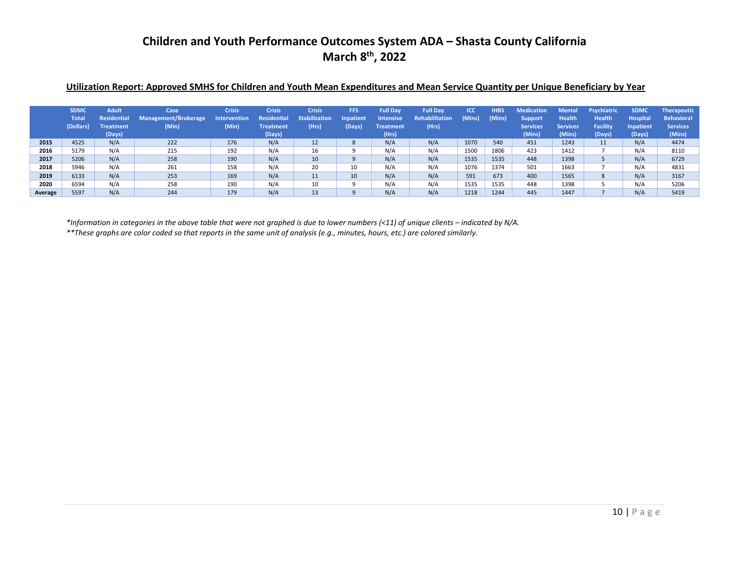### **Utilization Report: Approved SMHS for Children and Youth Mean Expenditures and Mean Service Quantity per Unique Beneficiary by Year**

|         | <b>SDMC</b><br><b>Total</b><br>(Dollars) | <b>Adult</b><br><b>Residential</b><br><b>Treatment</b><br>(Days) | Case<br>Management/Brokerage<br>(Min) | <b>Crisis</b><br><b>Intervention</b><br>(Min) | <b>Crisis</b><br>Residential<br><b>Treatment</b><br>(Days) | <b>Crisis</b><br><b>Stabilization</b><br>(Hrs) | FFS<br><b>Inpatient</b><br>(Days) | <b>Full Day</b><br><b>Intensive</b><br><b>Treatment</b><br>(Hrs) | <b>Full Day</b><br>Rehabilitation<br>(Hrs) | <b>ICC</b><br>(Mins) | <b>IHBS</b><br>(Mins) | <b>Medication</b><br><b>Support</b><br><b>Services</b><br>(Mins) | <b>Mental</b><br><b>Health</b><br><b>Services</b><br>(Mins) | <b>Psychiatric</b><br><b>Health</b><br><b>Facility</b><br>(Days) | <b>SDMC</b><br><b>Hospital</b><br>Inpatient<br>(Days) | <b>Therapeutic</b><br><b>Behavioral</b><br><b>Services</b><br>(Mins) |
|---------|------------------------------------------|------------------------------------------------------------------|---------------------------------------|-----------------------------------------------|------------------------------------------------------------|------------------------------------------------|-----------------------------------|------------------------------------------------------------------|--------------------------------------------|----------------------|-----------------------|------------------------------------------------------------------|-------------------------------------------------------------|------------------------------------------------------------------|-------------------------------------------------------|----------------------------------------------------------------------|
| 2015    | 4525                                     | N/A                                                              | 222                                   | 176                                           | N/A                                                        | 12                                             | 8                                 | N/A                                                              | N/A                                        | 1070                 | 540                   | 451                                                              | 1243                                                        | 11                                                               | N/A                                                   | 4474                                                                 |
| 2016    | 5179                                     | N/A                                                              | 215                                   | 192                                           | N/A                                                        | 16                                             |                                   | N/A                                                              | N/A                                        | 1500                 | 1806                  | 423                                                              | 1412                                                        |                                                                  | N/A                                                   | 8110                                                                 |
| 2017    | 5206                                     | N/A                                                              | 258                                   | 190                                           | N/A                                                        | 10                                             |                                   | N/A                                                              | N/A                                        | 1535                 | 1535                  | 448                                                              | 1398                                                        |                                                                  | N/A                                                   | 6729                                                                 |
| 2018    | 5946                                     | N/A                                                              | 261                                   | 158                                           | N/A                                                        | 20                                             | 10                                | N/A                                                              | N/A                                        | 1076                 | 1374                  | 501                                                              | 1663                                                        |                                                                  | N/A                                                   | 4831                                                                 |
| 2019    | 6133                                     | N/A                                                              | 253                                   | 169                                           | N/A                                                        | 11                                             | 10                                | N/A                                                              | N/A                                        | 591                  | 673                   | 400                                                              | 1565                                                        | 8                                                                | N/A                                                   | 3167                                                                 |
| 2020    | 6594                                     | N/A                                                              | 258                                   | 190                                           | N/A                                                        | 10                                             | 9                                 | N/A                                                              | N/A                                        | 1535                 | 1535                  | 448                                                              | 1398                                                        |                                                                  | N/A                                                   | 5206                                                                 |
| Average | 5597                                     | N/A                                                              | 244                                   | 179                                           | N/A                                                        | 13                                             |                                   | N/A                                                              | N/A                                        | 1218                 | 1244                  | 445                                                              | 1447                                                        |                                                                  | N/A                                                   | 5419                                                                 |

*\*Information in categories in the above table that were not graphed is due to lower numbers (<11) of unique clients – indicated by N/A. \*\*These graphs are color coded so that reports in the same unit of analysis (e.g., minutes, hours, etc.) are colored similarly.*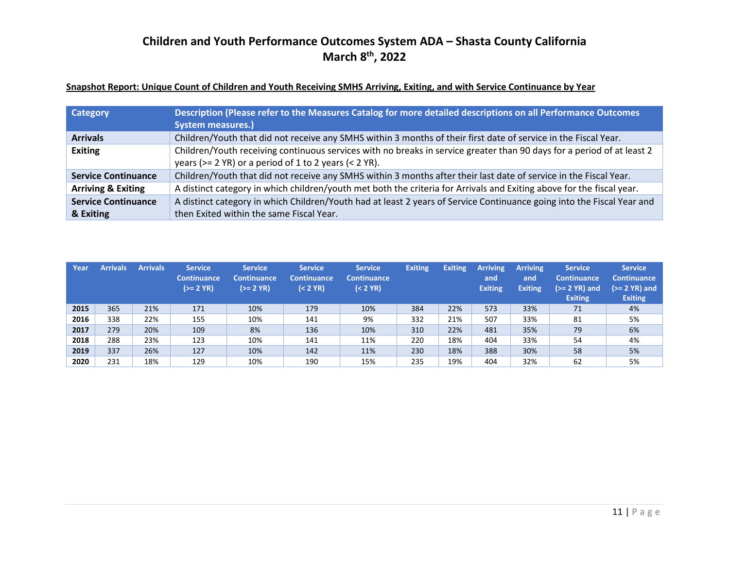### **Snapshot Report: Unique Count of Children and Youth Receiving SMHS Arriving, Exiting, and with Service Continuance by Year**

| Category                      | Description (Please refer to the Measures Catalog for more detailed descriptions on all Performance Outcomes           |
|-------------------------------|------------------------------------------------------------------------------------------------------------------------|
|                               | <b>System measures.)</b>                                                                                               |
| <b>Arrivals</b>               | Children/Youth that did not receive any SMHS within 3 months of their first date of service in the Fiscal Year.        |
| <b>Exiting</b>                | Children/Youth receiving continuous services with no breaks in service greater than 90 days for a period of at least 2 |
|                               | years ( $>= 2$ YR) or a period of 1 to 2 years ( $< 2$ YR).                                                            |
| <b>Service Continuance</b>    | Children/Youth that did not receive any SMHS within 3 months after their last date of service in the Fiscal Year.      |
| <b>Arriving &amp; Exiting</b> | A distinct category in which children/youth met both the criteria for Arrivals and Exiting above for the fiscal year.  |
| <b>Service Continuance</b>    | A distinct category in which Children/Youth had at least 2 years of Service Continuance going into the Fiscal Year and |
| & Exiting                     | then Exited within the same Fiscal Year.                                                                               |

| Year | <b>Arrivals</b> | <b>Arrivals</b> | <b>Service</b><br><b>Continuance</b><br>$(>= 2 YR)$ | <b>Service</b><br><b>Continuance</b><br>$(>= 2 YR)$ | <b>Service</b><br><b>Continuance</b><br>$(2 YR)$ | <b>Service</b><br><b>Continuance</b><br>$(2 YR)$ | <b>Exiting</b> | <b>Exiting</b> | <b>Arriving</b><br>and<br><b>Exiting</b> | <b>Arriving</b><br>and<br><b>Exiting</b> | <b>Service</b><br><b>Continuance</b><br>$(>= 2$ YR) and<br><b>Exiting</b> | <b>Service</b><br><b>Continuance</b><br>$(>= 2 YR)$ and<br><b>Exiting</b> |
|------|-----------------|-----------------|-----------------------------------------------------|-----------------------------------------------------|--------------------------------------------------|--------------------------------------------------|----------------|----------------|------------------------------------------|------------------------------------------|---------------------------------------------------------------------------|---------------------------------------------------------------------------|
| 2015 | 365             | 21%             | 171                                                 | 10%                                                 | 179                                              | 10%                                              | 384            | 22%            | 573                                      | 33%                                      | 71                                                                        | 4%                                                                        |
| 2016 | 338             | 22%             | 155                                                 | 10%                                                 | 141                                              | 9%                                               | 332            | 21%            | 507                                      | 33%                                      | 81                                                                        | 5%                                                                        |
| 2017 | 279             | 20%             | 109                                                 | 8%                                                  | 136                                              | 10%                                              | 310            | 22%            | 481                                      | 35%                                      | 79                                                                        | 6%                                                                        |
| 2018 | 288             | 23%             | 123                                                 | 10%                                                 | 141                                              | 11%                                              | 220            | 18%            | 404                                      | 33%                                      | 54                                                                        | 4%                                                                        |
| 2019 | 337             | 26%             | 127                                                 | 10%                                                 | 142                                              | 11%                                              | 230            | 18%            | 388                                      | 30%                                      | 58                                                                        | 5%                                                                        |
| 2020 | 231             | 18%             | 129                                                 | 10%                                                 | 190                                              | 15%                                              | 235            | 19%            | 404                                      | 32%                                      | 62                                                                        | 5%                                                                        |